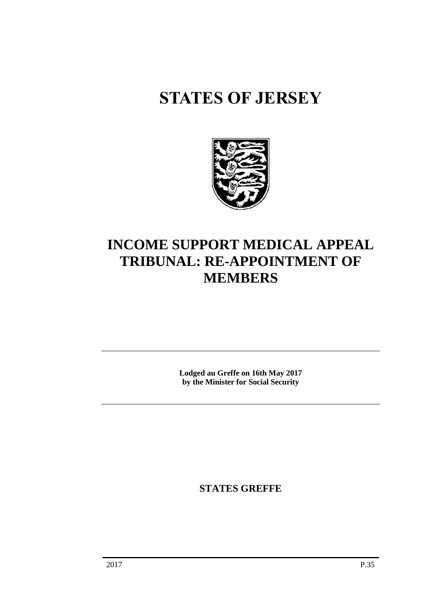# **STATES OF JERSEY**



## **INCOME SUPPORT MEDICAL APPEAL TRIBUNAL: RE-APPOINTMENT OF MEMBERS**

**Lodged au Greffe on 16th May 2017 by the Minister for Social Security**

**STATES GREFFE**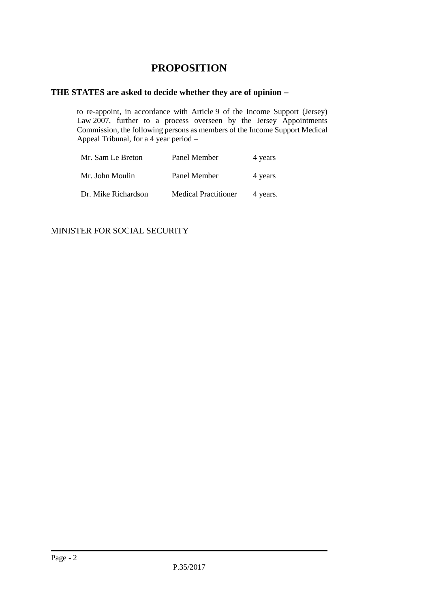### **PROPOSITION**

#### **THE STATES are asked to decide whether they are of opinion**

to re-appoint, in accordance with Article 9 of the Income Support (Jersey) Law 2007, further to a process overseen by the Jersey Appointments Commission, the following persons as members of the Income Support Medical Appeal Tribunal, for a 4 year period –

| Mr. Sam Le Breton   | Panel Member                | 4 years  |
|---------------------|-----------------------------|----------|
| Mr. John Moulin     | Panel Member                | 4 years  |
| Dr. Mike Richardson | <b>Medical Practitioner</b> | 4 years. |

MINISTER FOR SOCIAL SECURITY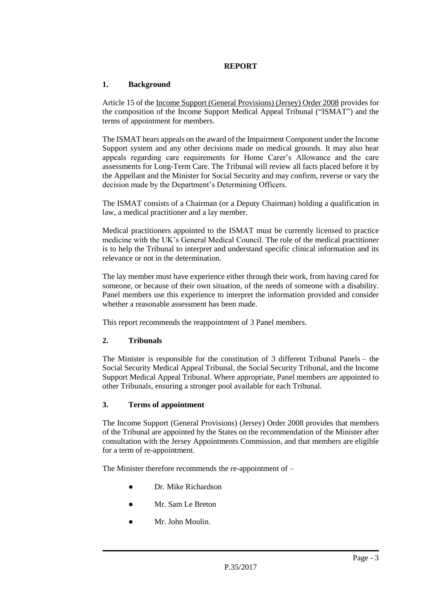#### **REPORT**

#### **1. Background**

Article 15 of the [Income Support \(General Provisions\) \(Jersey\) Order 2008](https://www.jerseylaw.je/laws/revised/Pages/26.550.20.aspx) provides for the composition of the Income Support Medical Appeal Tribunal ("ISMAT") and the terms of appointment for members.

The ISMAT hears appeals on the award of the Impairment Component under the Income Support system and any other decisions made on medical grounds. It may also hear appeals regarding care requirements for Home Carer's Allowance and the care assessments for Long-Term Care. The Tribunal will review all facts placed before it by the Appellant and the Minister for Social Security and may confirm, reverse or vary the decision made by the Department's Determining Officers.

The ISMAT consists of a Chairman (or a Deputy Chairman) holding a qualification in law, a medical practitioner and a lay member.

Medical practitioners appointed to the ISMAT must be currently licensed to practice medicine with the UK's General Medical Council. The role of the medical practitioner is to help the Tribunal to interpret and understand specific clinical information and its relevance or not in the determination.

The lay member must have experience either through their work, from having cared for someone, or because of their own situation, of the needs of someone with a disability. Panel members use this experience to interpret the information provided and consider whether a reasonable assessment has been made.

This report recommends the reappointment of 3 Panel members.

#### **2. Tribunals**

The Minister is responsible for the constitution of 3 different Tribunal Panels – the Social Security Medical Appeal Tribunal, the Social Security Tribunal, and the Income Support Medical Appeal Tribunal. Where appropriate, Panel members are appointed to other Tribunals, ensuring a stronger pool available for each Tribunal.

#### **3. Terms of appointment**

The Income Support (General Provisions) (Jersey) Order 2008 provides that members of the Tribunal are appointed by the States on the recommendation of the Minister after consultation with the Jersey Appointments Commission, and that members are eligible for a term of re-appointment.

The Minister therefore recommends the re-appointment of –

- Dr. Mike Richardson
- Mr. Sam Le Breton
- Mr. John Moulin.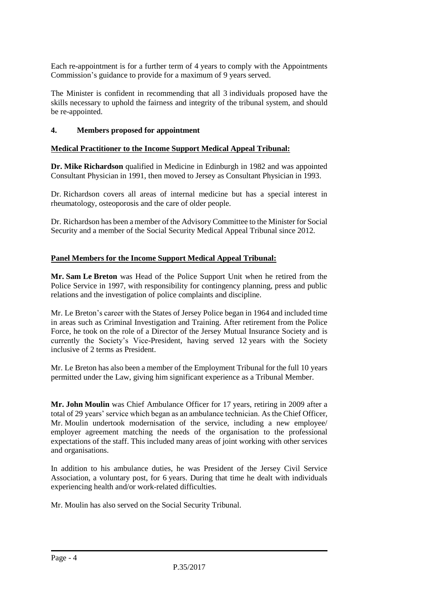Each re-appointment is for a further term of 4 years to comply with the Appointments Commission's guidance to provide for a maximum of 9 years served.

The Minister is confident in recommending that all 3 individuals proposed have the skills necessary to uphold the fairness and integrity of the tribunal system, and should be re-appointed.

#### **4. Members proposed for appointment**

#### **Medical Practitioner to the Income Support Medical Appeal Tribunal:**

**Dr. Mike Richardson** qualified in Medicine in Edinburgh in 1982 and was appointed Consultant Physician in 1991, then moved to Jersey as Consultant Physician in 1993.

Dr. Richardson covers all areas of internal medicine but has a special interest in rheumatology, osteoporosis and the care of older people.

Dr. Richardson has been a member of the Advisory Committee to the Minister for Social Security and a member of the Social Security Medical Appeal Tribunal since 2012.

#### **Panel Members for the Income Support Medical Appeal Tribunal:**

**Mr. Sam Le Breton** was Head of the Police Support Unit when he retired from the Police Service in 1997, with responsibility for contingency planning, press and public relations and the investigation of police complaints and discipline.

Mr. Le Breton's career with the States of Jersey Police began in 1964 and included time in areas such as Criminal Investigation and Training. After retirement from the Police Force, he took on the role of a Director of the Jersey Mutual Insurance Society and is currently the Society's Vice-President, having served 12 years with the Society inclusive of 2 terms as President.

Mr. Le Breton has also been a member of the Employment Tribunal for the full 10 years permitted under the Law, giving him significant experience as a Tribunal Member.

**Mr. John Moulin** was Chief Ambulance Officer for 17 years, retiring in 2009 after a total of 29 years' service which began as an ambulance technician. As the Chief Officer, Mr. Moulin undertook modernisation of the service, including a new employee/ employer agreement matching the needs of the organisation to the professional expectations of the staff. This included many areas of joint working with other services and organisations.

In addition to his ambulance duties, he was President of the Jersey Civil Service Association, a voluntary post, for 6 years. During that time he dealt with individuals experiencing health and/or work-related difficulties.

Mr. Moulin has also served on the Social Security Tribunal.